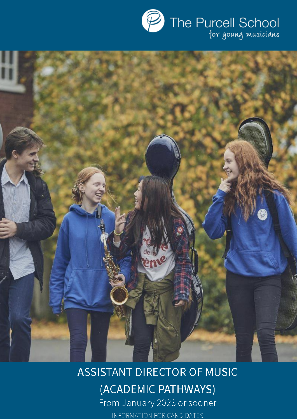

# **ASSISTANT DIRECTOR OF MUSIC** (ACADEMIC PATHWAYS) From January 2023 or sooner

eme

INFORMATION FOR CANDIDATES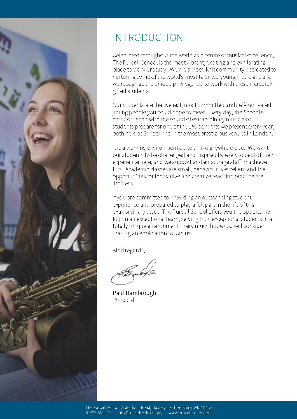

## **INTRODUCTION**

Celebrated throughout the world as a centre of musical excellence, The Purcell School is the most vibrant, exciting and exhilarating place to work or study. We are a close-knit community dedicated to nurturing some of the world's most talented young musicians and we recognize the unique privilege it is to work with these incredibly gifted students.

Our students are the liveliest, most committed and self-motivated young people you could hope to meet. Every day, the School's corridors echo with the sound of extraordinary music as our students prepare for one of the 150 concerts we present every year, both here at School and in the most prestigious venues in London.

It is a working environment quite unlike anywhere else! We want our students to be challenged and inspired by every aspect of their experience here, and we support and encourage staff to achieve this. Academic classes are small, behaviour is excellent and the opportunities for innovative and creative teaching practice are limitless

If you are committed to providing an outstanding student experience and prepared to play a full part in the life of this extraordinary place, The Purcell School offers you the opportunity to join an exceptional team, serving truly exceptional students in a totally unique environment. I very much hope you will consider making an application to join us.

Kind regards,

Paul Bambrough Principal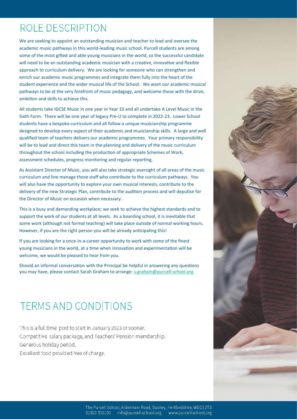### ROLE DESCRIPTION

We are seeking to appoint an outstanding musician and teacher to lead and oversee the academic music pathways in this world-leading music school. Purcell students are among some of the most gifted and able young musicians in the world, so the successful candidate will need to be an outstanding academic musician with a creative, innovative and flexible approach to curriculum delivery. We are looking for someone who can strengthen and enrich our academic music programmes and integrate them fully into the heart of the student experience and the wider musical life of the School. We want our academic musical pathways to be at the very forefront of music pedagogy, and welcome those with the drive, ambition and skills to achieve this.

All students take IGCSE Music in one year in Year 10 and all undertake A Level Music in the Sixth Form. There will be one year of legacy Pre-U to complete in 2022-23. Lower School students have a bespoke curriculum and all follow a unique musicianship programme designed to develop every aspect of their academic and musicianship skills. A large and well qualified team of teachers delivers our academic programmes. Your primary responsibility will be to lead and direct this team in the planning and delivery of the music curriculum throughout the school including the production of appropriate Schemes of Work, assessment schedules, progress monitoring and regular reporting.

As Assistant Director of Music, you will also take strategic oversight of all areas of the music curriculum and line manage those staff who contribute to the curriculum pathways. You will also have the opportunity to explore your own musical interests, contribute to the delivery of the new Strategic Plan, contribute to the audition process and will deputise for the Director of Music on occasion when necessary.

This is a busy and demanding workplace; we seek to achieve the highest standards and to support the work of our students at all levels. As a boarding school, it is inevitable that some work (although not formal teaching) will take place outside of normal working hours. However, if you are the right person you will be already anticipating this!

If you are looking for a once-in-a-career opportunity to work with some of the finest young musicians in the world, at a time when innovation and experimentation will be welcome, we would be pleased to hear from you.

Should an informal conversation with the Principal be helpful in answering any questions you may have, please contact Sarah Graham to arrange: [s.graham@purcell](mailto:s.graham@purcell-school.org)-school.org

### **TERMS AND CONDITIONS**

This is a full time post to start in January 2023 or sooner. Competitive salary package, and Teachers' Pension membership. Generous holiday period. Excellent food provided free of charge.

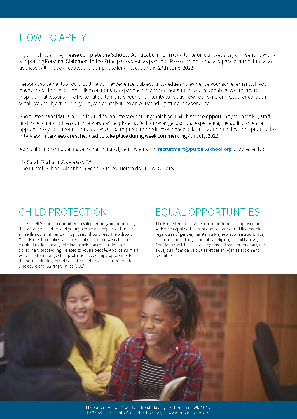## **HOW TO APPLY**

If you wish to apply, please complete the School's Application Form (available on our website) and send it with a supporting Personal Statement to the Principal as soon as possible. Please do not send a separate curriculum vitae as these will not be accepted. Closing date for applications is 27th June, 2022

Personal statements should outline your experience, subject knowledge and evidence your achievements. If you have a specific area of specialism or industry experience, please demonstrate how this enables you to create inspirational lessons. The Personal Statement is your opportunity to tell us how your skills and experience, both within your subject and beyond, can contribute to an outstanding student experience.

Shortlisted candidates will be invited for an interview during which you will have the opportunity to meet key staff, and to teach a short lesson. Interviews will explore subject knowledge, pastoral experience, the ability to relate appropriately to students. Candidates will be required to produce evidence of identity and qualifications prior to the interview. Interviews are scheduled to take place during week commencing 4th July, 2022.

Applications should be made to the Principal, sent by email to recruitment@purcell-school.org or by letter to:

Ms Sarah Graham, Principal's EA The Purcell School, Aldenham Road, Bushey, Hertfordshire, WD23 2TS

## **CHILD PROTECTION**

The Purcell School is committed to safeguarding and promoting the welfare of children and young people and expects all staff to share this commitment. All applicants should read the School's Child Protection policy, which is available on our website, and are required to declare any criminal convictions or cautions, or disciplinary proceedings related to young people. Applicants must be willing to undergo child protection screening appropriate to the post, including records checked and processed through the Disclosure and Barring Service (DBS).

# **EOUAL OPPORTUNTIES**

The Purcell School is an equal opportunities employer and welcomes application from appropriately qualified people regardless of gender, marital status, sexual orientation, race, ethnic origin, colour, nationality, religion, disability or age. Candidates will be assessed against relevant criteria only (i.e. skills, qualifications, abilities, experience) in selection and recruitment.

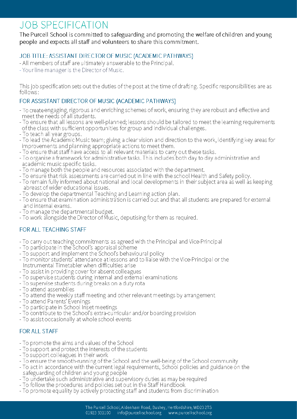### **JOB SPECIFICATION**

#### The Purcell School is committed to safeguarding and promoting the welfare of children and young people and expects all staff and volunteers to share this commitment.

### JOB TITLE: ASSISTANT DIRECTOR OF MUSIC (ACADEMIC PATHWAYS)

- All members of staff are ultimately answerable to the Principal.
- Your line manager is the Director of Music.

This job specification sets out the duties of the post at the time of drafting. Specific responsibilities are as follows:

#### FOR ASSISTANT DIRECTOR OF MUSIC (ACADEMIC PATHWAYS)

- To create engaging, rigorous and enriching schemes of work, ensuring they are robust and effective and meet the needs of all students.
- To ensure that all lessons are well-planned; lessons should be tailored to meet the learning requirements of the class with sufficient opportunities for group and individual challenges.
- To teach all year groups.
- To lead the Ácademic Music team; giving a clear vision and direction to the work, identifying key areas for improvements and planning appropriate actions to meet them.
- To ensure that staff have access to all relevant materials to carry out these tasks.
- To organise a framework for administrative tasks. This includes both day to day administrative and academic music specific tasks.
- To manage both the people and resources associated with the department.
- To ensure that risk assessments are carried out in line with the school Health and Safety policy.
- To remain fully informed about national and local developments in their subject area as well as keeping abreast of wider educational issues.
- To develop the departmental Teaching and Learning action plan.
- To ensure that examination administration is carried out and that all students are prepared for external and internal exams.
- To manage the departmental budget.
- To work alongside the Director of Music, deputising for them as required.

### FOR ALL TEACHING STAFF

- To carry out teaching commitments as agreed with the Principal and Vice-Principal
- To participate in the School's appraisal scheme
- To support and implement the School's behavioural policy
- To monitor students' attendance at lessons and to liaise with the Vice-Principal or the Instrumental Timetabler when difficulties arise
- To assist in providing cover for absent colleagues
- To supervise students during internal and external examinations
- To supervise students during breaks on a duty rota
- To attend assemblies
- To attend the weekly staff meeting and other relevant meetings by arrangement
- 
- To attend Parents' Evenings<br>- To participate in School Inset meetings
- To contribute to the School's extra-curricular and/or boarding provision
- To assist occasionally at whole school events

### FOR ALL STAFF

- To promote the aims and values of the School
- To support and protect the interests of the students
- To support colleagues in their work
- To ensure the smooth-running of the School and the well-being of the School community
- To act in accordance with the current legal requirements, School policies and guidance on the safeguarding of children and young people
- To undertake such administrative and supervisory duties as may be required
- 
- To follow the procedures and policies set out in the Staff Handbook<br>- To promote equality by actively protecting staff and students from discrimination